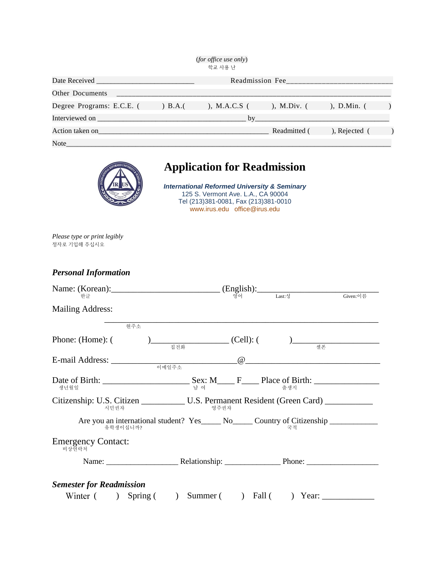|                                  |                     | <i>(for office use only)</i> |               |                       |  |
|----------------------------------|---------------------|------------------------------|---------------|-----------------------|--|
|                                  |                     | 학교 사용 난                      |               |                       |  |
| Date Received<br>Readmission Fee |                     |                              |               |                       |  |
| <b>Other Documents</b>           |                     |                              |               |                       |  |
| Degree Programs: E.C.E. (        | $\rightarrow$ B.A.( | ), M.A.C.S (                 | ), M.Div. $($ | ), D.Min. $($         |  |
| Interviewed on                   |                     | hv                           |               |                       |  |
| Action taken on                  |                     |                              | Readmitted (  | $\alpha$ , Rejected ( |  |
| Note                             |                     |                              |               |                       |  |



## **Application for Readmission**

*International Reformed University & Seminary* 125 S. Vermont Ave. L.A., CA 90004 Tel (213)381-0081, Fax (213)381-0010 www.irus.edu office@irus.edu

*Please type or print legibly* 정자로 기입해 주십시오

*Personal Information*

| Name: (Korean): (English): $\qquad \qquad \qquad \text{(English):}$ $\qquad \qquad \text{Last:} \frac{1}{3}$     |      |                 | Given:이름 |
|------------------------------------------------------------------------------------------------------------------|------|-----------------|----------|
| <b>Mailing Address:</b>                                                                                          |      |                 |          |
| 현주소                                                                                                              |      |                 |          |
| Phone: (Home): (                                                                                                 |      |                 |          |
|                                                                                                                  |      | $\omega$ $\sim$ |          |
|                                                                                                                  |      |                 |          |
| Citizenship: U.S. Citizen U.S. Permanent Resident (Green Card) ___________<br>시민권자                               | 영주권자 |                 |          |
| Are you an international student? Yes_______ No_______ Country of Citizenship ______________________<br>유학생이십니까? |      | 국적              |          |
| <b>Emergency Contact:</b><br>비상연락처                                                                               |      |                 |          |
|                                                                                                                  |      |                 |          |
| <b>Semester for Readmission</b>                                                                                  |      |                 |          |
|                                                                                                                  |      |                 |          |